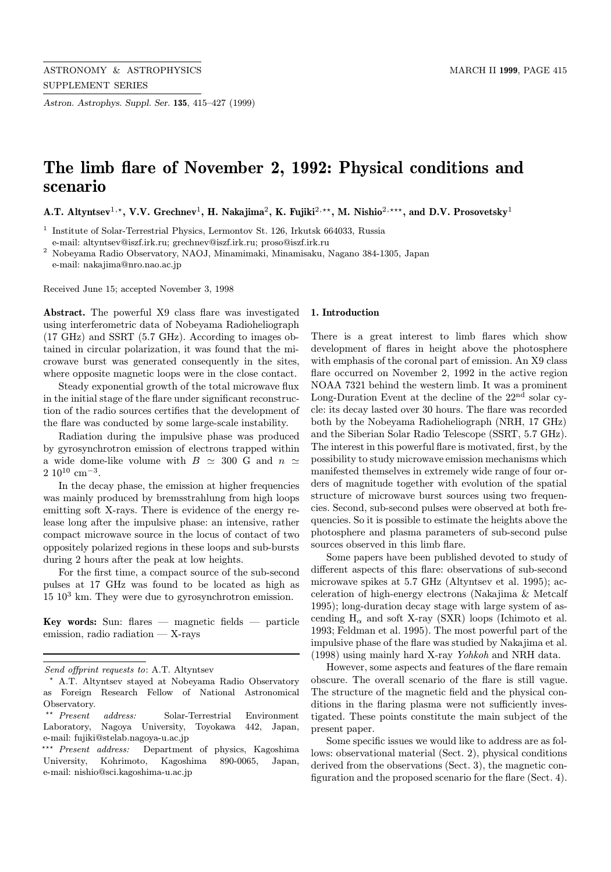Astron. Astrophys. Suppl. Ser. 135, 415–427 (1999)

# The limb flare of November 2, 1992: Physical conditions and scenario

A.T. Altyntsev<sup>1,\*</sup>, V.V. Grechnev<sup>1</sup>, H. Nakajima<sup>2</sup>, K. Fujiki<sup>2,\*\*</sup>, M. Nishio<sup>2,\*\*\*</sup>, and D.V. Prosovetsky<sup>1</sup>

 $^{\rm 1}$  Institute of Solar-Terrestrial Physics, Lermontov St. 126, Irkutsk 664033, Russia e-mail: altyntsev@iszf.irk.ru; grechnev@iszf.irk.ru; proso@iszf.irk.ru

<sup>2</sup> Nobeyama Radio Observatory, NAOJ, Minamimaki, Minamisaku, Nagano 384-1305, Japan e-mail: nakajima@nro.nao.ac.jp

Received June 15; accepted November 3, 1998

Abstract. The powerful X9 class flare was investigated using interferometric data of Nobeyama Radioheliograph (17 GHz) and SSRT (5.7 GHz). According to images obtained in circular polarization, it was found that the microwave burst was generated consequently in the sites, where opposite magnetic loops were in the close contact.

Steady exponential growth of the total microwave flux in the initial stage of the flare under significant reconstruction of the radio sources certifies that the development of the flare was conducted by some large-scale instability.

Radiation during the impulsive phase was produced by gyrosynchrotron emission of electrons trapped within a wide dome-like volume with  $B \simeq 300$  G and  $n \simeq$  $2.10^{10}$  cm<sup>-3</sup>.

In the decay phase, the emission at higher frequencies was mainly produced by bremsstrahlung from high loops emitting soft X-rays. There is evidence of the energy release long after the impulsive phase: an intensive, rather compact microwave source in the locus of contact of two oppositely polarized regions in these loops and sub-bursts during 2 hours after the peak at low heights.

For the first time, a compact source of the sub-second pulses at 17 GHz was found to be located as high as  $15 \, 10^3$  km. They were due to gyrosynchrotron emission.

Key words: Sun: flares  $-$  magnetic fields  $-$  particle emission, radio radiation — X-rays

#### 1. Introduction

There is a great interest to limb flares which show development of flares in height above the photosphere with emphasis of the coronal part of emission. An X9 class flare occurred on November 2, 1992 in the active region NOAA 7321 behind the western limb. It was a prominent Long-Duration Event at the decline of the 22nd solar cycle: its decay lasted over 30 hours. The flare was recorded both by the Nobeyama Radioheliograph (NRH, 17 GHz) and the Siberian Solar Radio Telescope (SSRT, 5.7 GHz). The interest in this powerful flare is motivated, first, by the possibility to study microwave emission mechanisms which manifested themselves in extremely wide range of four orders of magnitude together with evolution of the spatial structure of microwave burst sources using two frequencies. Second, sub-second pulses were observed at both frequencies. So it is possible to estimate the heights above the photosphere and plasma parameters of sub-second pulse sources observed in this limb flare.

Some papers have been published devoted to study of different aspects of this flare: observations of sub-second microwave spikes at 5.7 GHz (Altyntsev et al. 1995); acceleration of high-energy electrons (Nakajima & Metcalf 1995); long-duration decay stage with large system of ascending  $H_{\alpha}$  and soft X-ray (SXR) loops (Ichimoto et al. 1993; Feldman et al. 1995). The most powerful part of the impulsive phase of the flare was studied by Nakajima et al. (1998) using mainly hard X-ray Yohkoh and NRH data.

However, some aspects and features of the flare remain obscure. The overall scenario of the flare is still vague. The structure of the magnetic field and the physical conditions in the flaring plasma were not sufficiently investigated. These points constitute the main subject of the present paper.

Some specific issues we would like to address are as follows: observational material (Sect. 2), physical conditions derived from the observations (Sect. 3), the magnetic configuration and the proposed scenario for the flare (Sect. 4).

Send offprint requests to: A.T. Altyntsev

<sup>?</sup> A.T. Altyntsev stayed at Nobeyama Radio Observatory as Foreign Research Fellow of National Astronomical Observatory.

Present address: Solar-Terrestrial Environment Laboratory, Nagoya University, Toyokawa 442, Japan, e-mail: fujiki@stelab.nagoya-u.ac.jp

<sup>\*\*\*</sup> Present address: Department of physics, Kagoshima University, Kohrimoto, Kagoshima 890-0065, Japan, e-mail: nishio@sci.kagoshima-u.ac.jp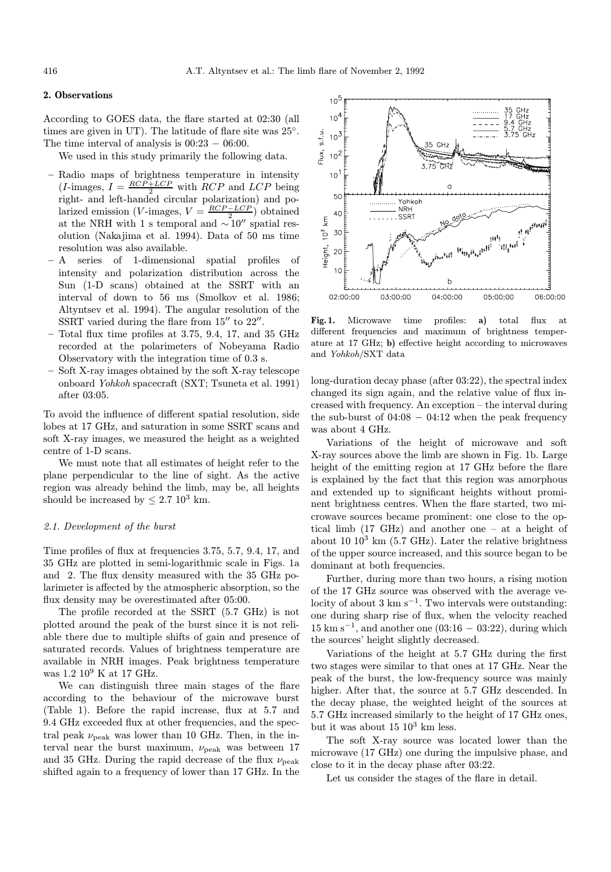## 2. Observations

According to GOES data, the flare started at 02:30 (all times are given in UT). The latitude of flare site was 25◦. The time interval of analysis is  $00:23 - 06:00$ .

We used in this study primarily the following data.

- Radio maps of brightness temperature in intensity  $(I\text{-images}, I = \frac{RCP + LCP}{2}$  with  $RCP$  and  $LCP$  being right- and left-handed circular polarization) and polarized emission (V-images,  $V = \frac{RCP - LCP}{2}$ ) obtained at the NRH with 1 s temporal and  $\sim 10''$  spatial resolution (Nakajima et al. 1994). Data of 50 ms time resolution was also available.
- A series of 1-dimensional spatial profiles of intensity and polarization distribution across the Sun (1-D scans) obtained at the SSRT with an interval of down to 56 ms (Smolkov et al. 1986; Altyntsev et al. 1994). The angular resolution of the SSRT varied during the flare from  $15^{\prime\prime}$  to  $22^{\prime\prime}$ .
- Total flux time profiles at 3.75, 9.4, 17, and 35 GHz recorded at the polarimeters of Nobeyama Radio Observatory with the integration time of 0.3 s.
- Soft X-ray images obtained by the soft X-ray telescope onboard Yohkoh spacecraft (SXT; Tsuneta et al. 1991) after 03:05.

To avoid the influence of different spatial resolution, side lobes at 17 GHz, and saturation in some SSRT scans and soft X-ray images, we measured the height as a weighted centre of 1-D scans.

We must note that all estimates of height refer to the plane perpendicular to the line of sight. As the active region was already behind the limb, may be, all heights should be increased by  $\leq 2.7$  10<sup>3</sup> km.

## 2.1. Development of the burst

Time profiles of flux at frequencies 3.75, 5.7, 9.4, 17, and 35 GHz are plotted in semi-logarithmic scale in Figs. 1a and 2. The flux density measured with the 35 GHz polarimeter is affected by the atmospheric absorption, so the flux density may be overestimated after 05:00.

The profile recorded at the SSRT (5.7 GHz) is not plotted around the peak of the burst since it is not reliable there due to multiple shifts of gain and presence of saturated records. Values of brightness temperature are available in NRH images. Peak brightness temperature was 1.2 10<sup>9</sup> K at 17 GHz.

We can distinguish three main stages of the flare according to the behaviour of the microwave burst (Table 1). Before the rapid increase, flux at 5.7 and 9.4 GHz exceeded flux at other frequencies, and the spectral peak  $\nu_{\text{peak}}$  was lower than 10 GHz. Then, in the interval near the burst maximum,  $\nu_{\text{peak}}$  was between 17 and 35 GHz. During the rapid decrease of the flux  $\nu_{\text{peak}}$ shifted again to a frequency of lower than 17 GHz. In the



Fig. 1. Microwave time profiles: a) total flux at different frequencies and maximum of brightness temperature at 17 GHz; b) effective height according to microwaves and Yohkoh/SXT data

long-duration decay phase (after 03:22), the spectral index changed its sign again, and the relative value of flux increased with frequency. An exception – the interval during the sub-burst of  $04:08 - 04:12$  when the peak frequency was about 4 GHz.

Variations of the height of microwave and soft X-ray sources above the limb are shown in Fig. 1b. Large height of the emitting region at 17 GHz before the flare is explained by the fact that this region was amorphous and extended up to significant heights without prominent brightness centres. When the flare started, two microwave sources became prominent: one close to the optical limb (17 GHz) and another one – at a height of about 10  $10^3$  km (5.7 GHz). Later the relative brightness of the upper source increased, and this source began to be dominant at both frequencies.

Further, during more than two hours, a rising motion of the 17 GHz source was observed with the average velocity of about 3 km s<sup>−</sup><sup>1</sup>. Two intervals were outstanding: one during sharp rise of flux, when the velocity reached  $15 \text{ km s}^{-1}$ , and another one (03:16 – 03:22), during which the sources' height slightly decreased.

Variations of the height at 5.7 GHz during the first two stages were similar to that ones at 17 GHz. Near the peak of the burst, the low-frequency source was mainly higher. After that, the source at 5.7 GHz descended. In the decay phase, the weighted height of the sources at 5.7 GHz increased similarly to the height of 17 GHz ones, but it was about  $15 \times 10^3$  km less.

The soft X-ray source was located lower than the microwave (17 GHz) one during the impulsive phase, and close to it in the decay phase after 03:22.

Let us consider the stages of the flare in detail.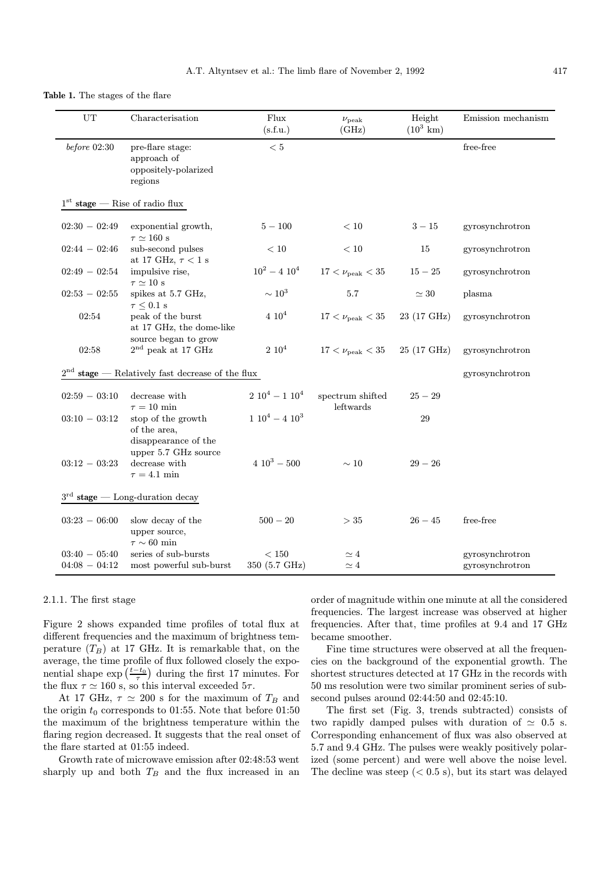#### Table 1. The stages of the flare

| UT                                               | Characterisation                                                                   | Flux<br>(s.f.u.)          | $\nu_{\rm peak}$<br>(GHz)     | Height<br>$(10^3 \text{ km})$ | Emission mechanism                 |
|--------------------------------------------------|------------------------------------------------------------------------------------|---------------------------|-------------------------------|-------------------------------|------------------------------------|
| $before\ 02:30$                                  | pre-flare stage:<br>approach of<br>oppositely-polarized<br>regions                 | $<5\,$                    |                               |                               | free-free                          |
| $1st$ stage — Rise of radio flux                 |                                                                                    |                           |                               |                               |                                    |
| $02:30 - 02:49$                                  | exponential growth,<br>$\tau \simeq 160~\mathrm{s}$                                | $5 - 100$                 | $<10\,$                       | $3 - 15$                      | gyrosynchrotron                    |
| $02:44 - 02:46$                                  | sub-second pulses<br>at 17 GHz, $\tau$ < 1 s                                       | $<10\,$                   | < 10                          | 15                            | gyrosynchrotron                    |
| $02:49 - 02:54$                                  | impulsive rise,<br>$\tau \simeq 10~\mathrm{s}$                                     | $10^2 - 4 10^4$           | $17 < \nu_{\rm peak} < 35$    | $15 - 25$                     | gyrosynchrotron                    |
| $02:53 - 02:55$                                  | spikes at 5.7 GHz,<br>$\tau \leq 0.1~\mathrm{s}$                                   | $\sim 10^3$               | 5.7                           | $\simeq 30$                   | plasma                             |
| 02:54                                            | peak of the burst<br>at 17 GHz, the dome-like                                      | $4\;10^4$                 | $17 < \nu_{\rm peak} < 35$    | 23 (17 GHz)                   | gyrosynchrotron                    |
| 02:58                                            | source began to grow<br>$2nd$ peak at 17 GHz                                       | $2 10^4$                  | $17 < \nu_{\rm peak} < 35$    | 25 (17 GHz)                   | gyrosynchrotron                    |
| $stage$ --- Relatively fast decrease of the flux |                                                                                    |                           |                               |                               | gyrosynchrotron                    |
| $02:59 - 03:10$                                  | decrease with<br>$\tau = 10$ min                                                   | $2\ 10^4 - 1\ 10^4$       | spectrum shifted<br>leftwards | $25 - 29$                     |                                    |
| $03:10 - 03:12$                                  | stop of the growth<br>of the area,<br>disappearance of the<br>upper 5.7 GHz source | $1\ 10^4 - 4\ 10^3$       |                               | 29                            |                                    |
| $03:12 - 03:23$                                  | decrease with<br>$\tau=4.1$ min                                                    | $4\ 10^3 - 500$           | $\sim 10$                     | $29 - 26$                     |                                    |
| $3rd$ stage — Long-duration decay                |                                                                                    |                           |                               |                               |                                    |
| $03:23 - 06:00$                                  | slow decay of the<br>upper source,<br>$\tau \sim 60$ min                           | $500-20\,$                | >35                           | $26 - 45$                     | free-free                          |
| $03:40 - 05:40$<br>$04:08 - 04:12$               | series of sub-bursts<br>most powerful sub-burst                                    | $<150\,$<br>350 (5.7 GHz) | $\simeq 4$<br>$\simeq 4$      |                               | gyrosynchrotron<br>gyrosynchrotron |

#### 2.1.1. The first stage

Figure 2 shows expanded time profiles of total flux at different frequencies and the maximum of brightness temperature  $(T_B)$  at 17 GHz. It is remarkable that, on the average, the time profile of flux followed closely the exponential shape  $\exp\left(\frac{t-t_0}{\tau}\right)$  during the first 17 minutes. For the flux  $\tau \simeq 160$  s, so this interval exceeded  $5\tau$ .

At 17 GHz,  $\tau \simeq 200$  s for the maximum of  $T_B$  and the origin  $t_0$  corresponds to 01:55. Note that before 01:50 the maximum of the brightness temperature within the flaring region decreased. It suggests that the real onset of the flare started at 01:55 indeed.

Growth rate of microwave emission after 02:48:53 went sharply up and both  $T_B$  and the flux increased in an

order of magnitude within one minute at all the considered frequencies. The largest increase was observed at higher frequencies. After that, time profiles at 9.4 and 17 GHz became smoother.

Fine time structures were observed at all the frequencies on the background of the exponential growth. The shortest structures detected at 17 GHz in the records with 50 ms resolution were two similar prominent series of subsecond pulses around 02:44:50 and 02:45:10.

The first set (Fig. 3, trends subtracted) consists of two rapidly damped pulses with duration of  $\simeq$  0.5 s. Corresponding enhancement of flux was also observed at 5.7 and 9.4 GHz. The pulses were weakly positively polarized (some percent) and were well above the noise level. The decline was steep  $( $0.5 \text{ s}$ ), but its start was delayed$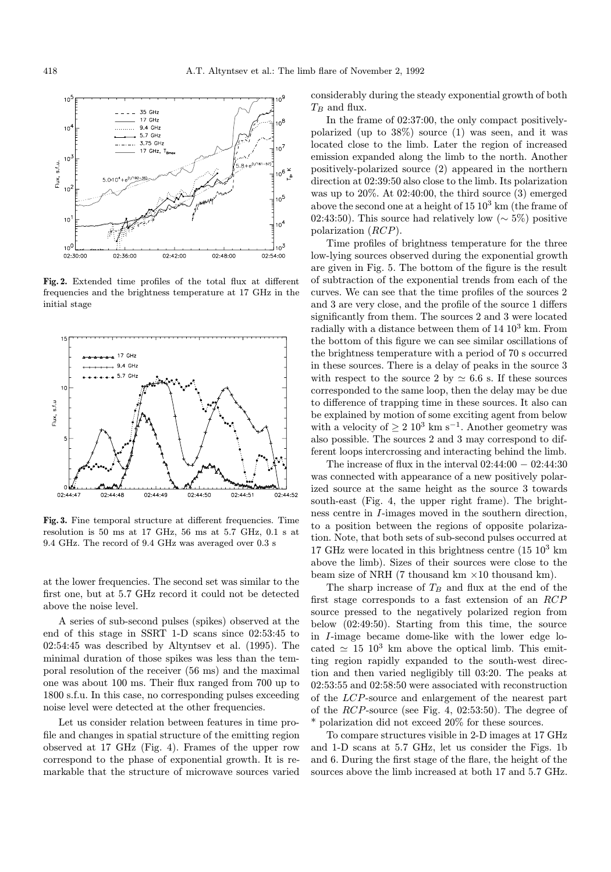

Fig. 2. Extended time profiles of the total flux at different frequencies and the brightness temperature at 17 GHz in the initial stage



Fig. 3. Fine temporal structure at different frequencies. Time resolution is 50 ms at 17 GHz, 56 ms at 5.7 GHz, 0.1 s at 9.4 GHz. The record of 9.4 GHz was averaged over 0.3 s

at the lower frequencies. The second set was similar to the first one, but at 5.7 GHz record it could not be detected above the noise level.

A series of sub-second pulses (spikes) observed at the end of this stage in SSRT 1-D scans since 02:53:45 to 02:54:45 was described by Altyntsev et al. (1995). The minimal duration of those spikes was less than the temporal resolution of the receiver (56 ms) and the maximal one was about 100 ms. Their flux ranged from 700 up to 1800 s.f.u. In this case, no corresponding pulses exceeding noise level were detected at the other frequencies.

Let us consider relation between features in time profile and changes in spatial structure of the emitting region observed at 17 GHz (Fig. 4). Frames of the upper row correspond to the phase of exponential growth. It is remarkable that the structure of microwave sources varied

considerably during the steady exponential growth of both  $T_B$  and flux.

In the frame of 02:37:00, the only compact positivelypolarized (up to 38%) source (1) was seen, and it was located close to the limb. Later the region of increased emission expanded along the limb to the north. Another positively-polarized source (2) appeared in the northern direction at 02:39:50 also close to the limb. Its polarization was up to 20%. At 02:40:00, the third source (3) emerged above the second one at a height of  $15 \times 10^3$  km (the frame of 02:43:50). This source had relatively low ( $\sim$  5%) positive polarization (RCP).

Time profiles of brightness temperature for the three low-lying sources observed during the exponential growth are given in Fig. 5. The bottom of the figure is the result of subtraction of the exponential trends from each of the curves. We can see that the time profiles of the sources 2 and 3 are very close, and the profile of the source 1 differs significantly from them. The sources 2 and 3 were located radially with a distance between them of  $14 \times 10^3$  km. From the bottom of this figure we can see similar oscillations of the brightness temperature with a period of 70 s occurred in these sources. There is a delay of peaks in the source 3 with respect to the source 2 by  $\simeq 6.6$  s. If these sources corresponded to the same loop, then the delay may be due to difference of trapping time in these sources. It also can be explained by motion of some exciting agent from below with a velocity of  $> 2 \times 10^3$  km s<sup>-1</sup>. Another geometry was also possible. The sources 2 and 3 may correspond to different loops intercrossing and interacting behind the limb.

The increase of flux in the interval  $02:44:00 - 02:44:30$ was connected with appearance of a new positively polarized source at the same height as the source 3 towards south-east (Fig. 4, the upper right frame). The brightness centre in I-images moved in the southern direction, to a position between the regions of opposite polarization. Note, that both sets of sub-second pulses occurred at 17 GHz were located in this brightness centre  $(15 \ 10^3 \text{ km})$ above the limb). Sizes of their sources were close to the beam size of NRH (7 thousand km  $\times$ 10 thousand km).

The sharp increase of  $T_B$  and flux at the end of the first stage corresponds to a fast extension of an RCP source pressed to the negatively polarized region from below (02:49:50). Starting from this time, the source in I-image became dome-like with the lower edge located  $\simeq 15 \; 10^3$  km above the optical limb. This emitting region rapidly expanded to the south-west direction and then varied negligibly till 03:20. The peaks at 02:53:55 and 02:58:50 were associated with reconstruction of the LCP-source and enlargement of the nearest part of the RCP-source (see Fig. 4, 02:53:50). The degree of \* polarization did not exceed 20% for these sources.

To compare structures visible in 2-D images at 17 GHz and 1-D scans at 5.7 GHz, let us consider the Figs. 1b and 6. During the first stage of the flare, the height of the sources above the limb increased at both 17 and 5.7 GHz.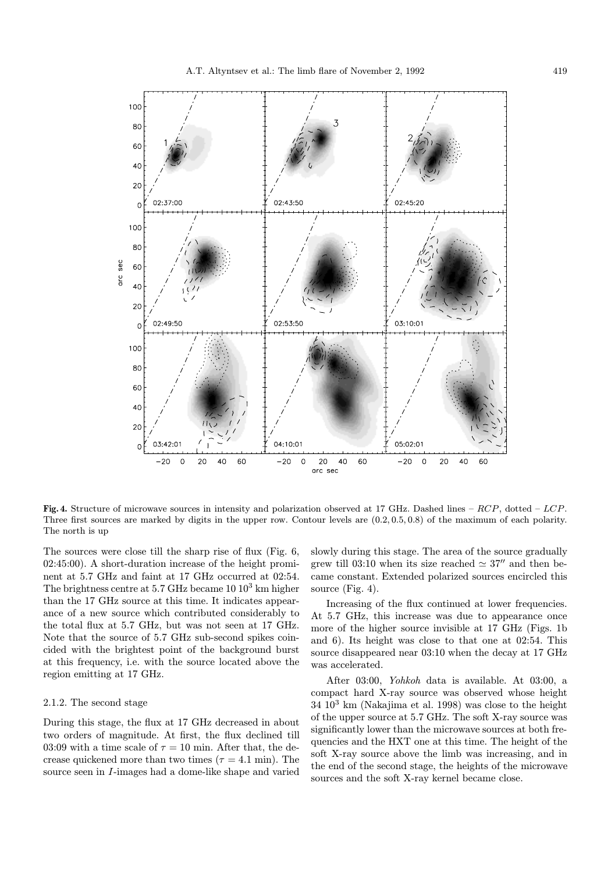

Fig. 4. Structure of microwave sources in intensity and polarization observed at 17 GHz. Dashed lines –  $RCP$ , dotted –  $LCP$ . Three first sources are marked by digits in the upper row. Contour levels are (0.2, 0.5, 0.8) of the maximum of each polarity. The north is up

The sources were close till the sharp rise of flux (Fig. 6, 02:45:00). A short-duration increase of the height prominent at 5.7 GHz and faint at 17 GHz occurred at 02:54. The brightness centre at  $5.7$  GHz became  $10\,10^3$  km higher than the 17 GHz source at this time. It indicates appearance of a new source which contributed considerably to the total flux at 5.7 GHz, but was not seen at 17 GHz. Note that the source of 5.7 GHz sub-second spikes coincided with the brightest point of the background burst at this frequency, i.e. with the source located above the region emitting at 17 GHz.

#### 2.1.2. The second stage

During this stage, the flux at 17 GHz decreased in about two orders of magnitude. At first, the flux declined till 03:09 with a time scale of  $\tau = 10$  min. After that, the decrease quickened more than two times ( $\tau = 4.1$  min). The source seen in I-images had a dome-like shape and varied

slowly during this stage. The area of the source gradually grew till 03:10 when its size reached  $\simeq 37''$  and then became constant. Extended polarized sources encircled this source (Fig. 4).

Increasing of the flux continued at lower frequencies. At 5.7 GHz, this increase was due to appearance once more of the higher source invisible at 17 GHz (Figs. 1b and 6). Its height was close to that one at 02:54. This source disappeared near 03:10 when the decay at 17 GHz was accelerated.

After 03:00, Yohkoh data is available. At 03:00, a compact hard X-ray source was observed whose height 34 10<sup>3</sup> km (Nakajima et al. 1998) was close to the height of the upper source at 5.7 GHz. The soft X-ray source was significantly lower than the microwave sources at both frequencies and the HXT one at this time. The height of the soft X-ray source above the limb was increasing, and in the end of the second stage, the heights of the microwave sources and the soft X-ray kernel became close.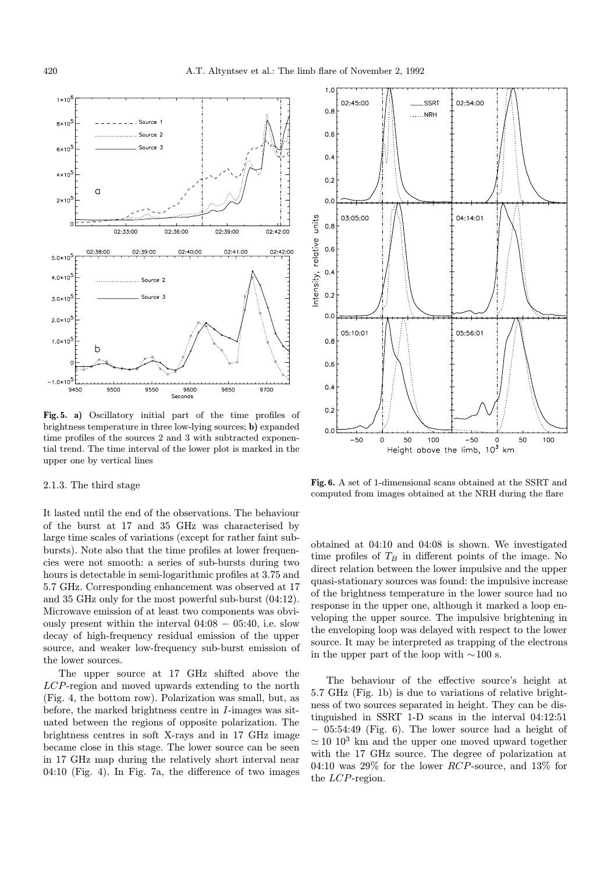

Fig. 5. a) Oscillatory initial part of the time profiles of brightness temperature in three low-lying sources; b) expanded time profiles of the sources 2 and 3 with subtracted exponential trend. The time interval of the lower plot is marked in the upper one by vertical lines

# 2.1.3. The third stage

It lasted until the end of the observations. The behaviour of the burst at 17 and 35 GHz was characterised by large time scales of variations (except for rather faint subbursts). Note also that the time profiles at lower frequencies were not smooth: a series of sub-bursts during two hours is detectable in semi-logarithmic profiles at 3.75 and 5.7 GHz. Corresponding enhancement was observed at 17 and 35 GHz only for the most powerful sub-burst (04:12). Microwave emission of at least two components was obviously present within the interval  $04:08 - 05:40$ , i.e. slow decay of high-frequency residual emission of the upper source, and weaker low-frequency sub-burst emission of the lower sources.

The upper source at 17 GHz shifted above the LCP-region and moved upwards extending to the north (Fig. 4, the bottom row). Polarization was small, but, as before, the marked brightness centre in I-images was situated between the regions of opposite polarization. The brightness centres in soft X-rays and in 17 GHz image became close in this stage. The lower source can be seen in 17 GHz map during the relatively short interval near 04:10 (Fig. 4). In Fig. 7a, the difference of two images



Fig. 6. A set of 1-dimensional scans obtained at the SSRT and computed from images obtained at the NRH during the flare

obtained at 04:10 and 04:08 is shown. We investigated time profiles of  $T_B$  in different points of the image. No direct relation between the lower impulsive and the upper quasi-stationary sources was found: the impulsive increase of the brightness temperature in the lower source had no response in the upper one, although it marked a loop enveloping the upper source. The impulsive brightening in the enveloping loop was delayed with respect to the lower source. It may be interpreted as trapping of the electrons in the upper part of the loop with  $\sim$ 100 s.

The behaviour of the effective source's height at 5.7 GHz (Fig. 1b) is due to variations of relative brightness of two sources separated in height. They can be distinguished in SSRT 1-D scans in the interval 04:12:51 − 05:54:49 (Fig. 6). The lower source had a height of  $\simeq$  10 10<sup>3</sup> km and the upper one moved upward together with the 17 GHz source. The degree of polarization at 04:10 was 29% for the lower RCP-source, and 13% for the LCP-region.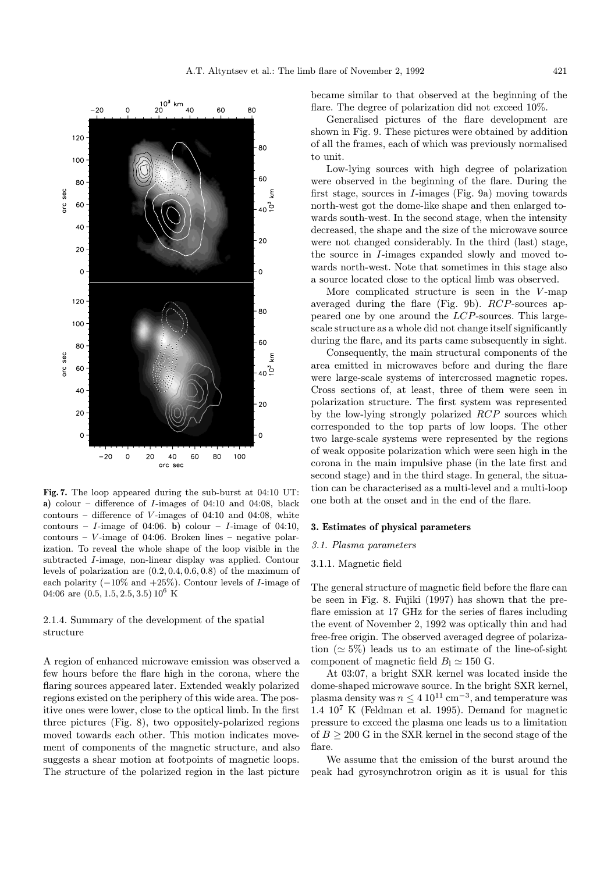

Fig. 7. The loop appeared during the sub-burst at 04:10 UT: a) colour – difference of  $I$ -images of 04:10 and 04:08, black contours – difference of  $V$ -images of 04:10 and 04:08, white contours – I-image of 04:06. b) colour – I-image of 04:10, contours –  $V$ -image of 04:06. Broken lines – negative polarization. To reveal the whole shape of the loop visible in the subtracted I-image, non-linear display was applied. Contour levels of polarization are (0.2, 0.4, 0.6, 0.8) of the maximum of each polarity  $(-10\% \text{ and } +25\%).$  Contour levels of *I*-image of 04:06 are  $(0.5, 1.5, 2.5, 3.5)$  10<sup>6</sup> K

# 2.1.4. Summary of the development of the spatial structure

A region of enhanced microwave emission was observed a few hours before the flare high in the corona, where the flaring sources appeared later. Extended weakly polarized regions existed on the periphery of this wide area. The positive ones were lower, close to the optical limb. In the first three pictures (Fig. 8), two oppositely-polarized regions moved towards each other. This motion indicates movement of components of the magnetic structure, and also suggests a shear motion at footpoints of magnetic loops. The structure of the polarized region in the last picture became similar to that observed at the beginning of the flare. The degree of polarization did not exceed 10%.

Generalised pictures of the flare development are shown in Fig. 9. These pictures were obtained by addition of all the frames, each of which was previously normalised to unit.

Low-lying sources with high degree of polarization were observed in the beginning of the flare. During the first stage, sources in I-images (Fig. 9a) moving towards north-west got the dome-like shape and then enlarged towards south-west. In the second stage, when the intensity decreased, the shape and the size of the microwave source were not changed considerably. In the third (last) stage, the source in I-images expanded slowly and moved towards north-west. Note that sometimes in this stage also a source located close to the optical limb was observed.

More complicated structure is seen in the  $V$ -map averaged during the flare (Fig. 9b). RCP-sources appeared one by one around the LCP-sources. This largescale structure as a whole did not change itself significantly during the flare, and its parts came subsequently in sight.

Consequently, the main structural components of the area emitted in microwaves before and during the flare were large-scale systems of intercrossed magnetic ropes. Cross sections of, at least, three of them were seen in polarization structure. The first system was represented by the low-lying strongly polarized RCP sources which corresponded to the top parts of low loops. The other two large-scale systems were represented by the regions of weak opposite polarization which were seen high in the corona in the main impulsive phase (in the late first and second stage) and in the third stage. In general, the situation can be characterised as a multi-level and a multi-loop one both at the onset and in the end of the flare.

#### 3. Estimates of physical parameters

#### 3.1. Plasma parameters

## 3.1.1. Magnetic field

The general structure of magnetic field before the flare can be seen in Fig. 8. Fujiki (1997) has shown that the preflare emission at 17 GHz for the series of flares including the event of November 2, 1992 was optically thin and had free-free origin. The observed averaged degree of polarization  $(\simeq 5\%)$  leads us to an estimate of the line-of-sight component of magnetic field  $B<sub>1</sub> \simeq 150$  G.

At 03:07, a bright SXR kernel was located inside the dome-shaped microwave source. In the bright SXR kernel, plasma density was  $n \leq 4 \cdot 10^{11} \text{ cm}^{-3}$ , and temperature was 1.4 10<sup>7</sup> K (Feldman et al. 1995). Demand for magnetic pressure to exceed the plasma one leads us to a limitation of  $B \geq 200$  G in the SXR kernel in the second stage of the flare.

We assume that the emission of the burst around the peak had gyrosynchrotron origin as it is usual for this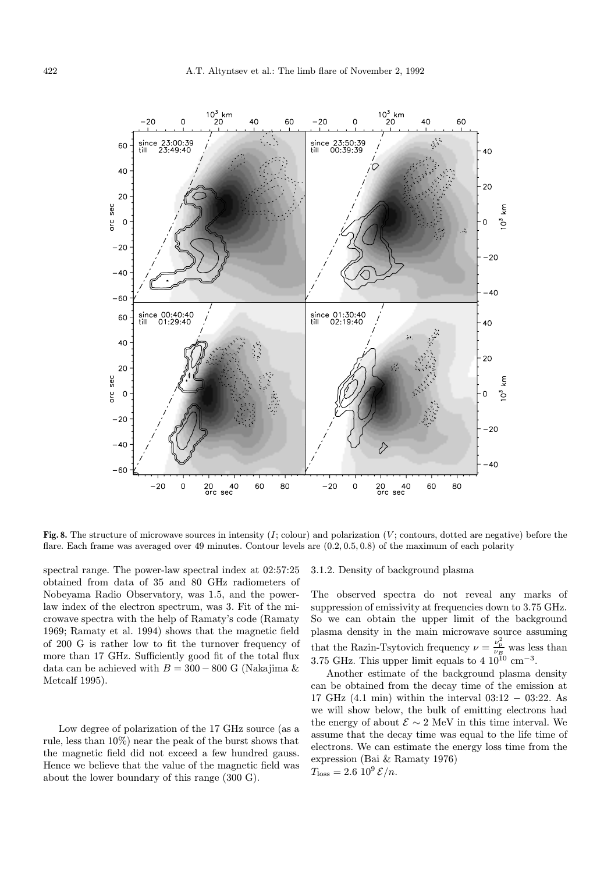

Fig. 8. The structure of microwave sources in intensity  $(I; \text{colour})$  and polarization  $(V; \text{contours}, \text{dotted are negative})$  before the flare. Each frame was averaged over 49 minutes. Contour levels are (0.2, 0.5, 0.8) of the maximum of each polarity

spectral range. The power-law spectral index at 02:57:25 obtained from data of 35 and 80 GHz radiometers of Nobeyama Radio Observatory, was 1.5, and the powerlaw index of the electron spectrum, was 3. Fit of the microwave spectra with the help of Ramaty's code (Ramaty 1969; Ramaty et al. 1994) shows that the magnetic field of 200 G is rather low to fit the turnover frequency of more than 17 GHz. Sufficiently good fit of the total flux data can be achieved with  $B = 300 - 800$  G (Nakajima & Metcalf 1995).

Low degree of polarization of the 17 GHz source (as a rule, less than 10%) near the peak of the burst shows that the magnetic field did not exceed a few hundred gauss. Hence we believe that the value of the magnetic field was about the lower boundary of this range (300 G).

#### 3.1.2. Density of background plasma

The observed spectra do not reveal any marks of suppression of emissivity at frequencies down to 3.75 GHz. So we can obtain the upper limit of the background plasma density in the main microwave source assuming that the Razin-Tsytovich frequency  $\nu = \frac{\nu_{\rm p}^2}{\nu_B}$  was less than 3.75 GHz. This upper limit equals to 4  $10^{10}$  cm<sup>-3</sup>.

Another estimate of the background plasma density can be obtained from the decay time of the emission at 17 GHz (4.1 min) within the interval 03:12 − 03:22. As we will show below, the bulk of emitting electrons had the energy of about  $\mathcal{E} \sim 2 \text{ MeV}$  in this time interval. We assume that the decay time was equal to the life time of electrons. We can estimate the energy loss time from the expression (Bai & Ramaty 1976)  $T_{\text{loss}} = 2.6 \, 10^9 \, \mathcal{E}/n.$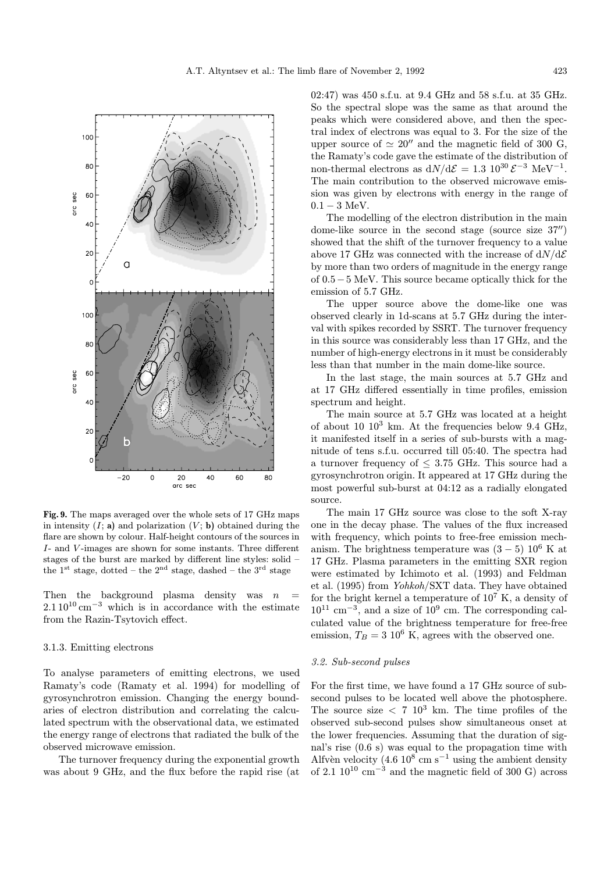

Fig. 9. The maps averaged over the whole sets of 17 GHz maps in intensity  $(I; \mathbf{a})$  and polarization  $(V; \mathbf{b})$  obtained during the flare are shown by colour. Half-height contours of the sources in I- and V -images are shown for some instants. Three different stages of the burst are marked by different line styles: solid – the  $1^{st}$  stage, dotted – the  $2^{nd}$  stage, dashed – the  $3^{rd}$  stage

Then the background plasma density was  $n$  $2.110^{10}$  cm<sup>-3</sup> which is in accordance with the estimate from the Razin-Tsytovich effect.

# 3.1.3. Emitting electrons

To analyse parameters of emitting electrons, we used Ramaty's code (Ramaty et al. 1994) for modelling of gyrosynchrotron emission. Changing the energy boundaries of electron distribution and correlating the calculated spectrum with the observational data, we estimated the energy range of electrons that radiated the bulk of the observed microwave emission.

The turnover frequency during the exponential growth was about 9 GHz, and the flux before the rapid rise (at 02:47) was 450 s.f.u. at 9.4 GHz and 58 s.f.u. at 35 GHz. So the spectral slope was the same as that around the peaks which were considered above, and then the spectral index of electrons was equal to 3. For the size of the upper source of  $\simeq 20''$  and the magnetic field of 300 G, the Ramaty's code gave the estimate of the distribution of non-thermal electrons as  $dN/d\mathcal{E} = 1.3 \; 10^{30} \, \mathcal{E}^{-3} \; \text{MeV}^{-1}$ . The main contribution to the observed microwave emission was given by electrons with energy in the range of  $0.1 - 3$  MeV.

The modelling of the electron distribution in the main dome-like source in the second stage (source size  $37''$ ) showed that the shift of the turnover frequency to a value above 17 GHz was connected with the increase of  $dN/d\mathcal{E}$ by more than two orders of magnitude in the energy range of 0.5−5 MeV. This source became optically thick for the emission of 5.7 GHz.

The upper source above the dome-like one was observed clearly in 1d-scans at 5.7 GHz during the interval with spikes recorded by SSRT. The turnover frequency in this source was considerably less than 17 GHz, and the number of high-energy electrons in it must be considerably less than that number in the main dome-like source.

In the last stage, the main sources at 5.7 GHz and at 17 GHz differed essentially in time profiles, emission spectrum and height.

The main source at 5.7 GHz was located at a height of about 10  $10^3$  km. At the frequencies below 9.4 GHz, it manifested itself in a series of sub-bursts with a magnitude of tens s.f.u. occurred till 05:40. The spectra had a turnover frequency of  $\leq$  3.75 GHz. This source had a gyrosynchrotron origin. It appeared at 17 GHz during the most powerful sub-burst at 04:12 as a radially elongated source.

The main 17 GHz source was close to the soft X-ray one in the decay phase. The values of the flux increased with frequency, which points to free-free emission mechanism. The brightness temperature was  $(3-5)$  10<sup>6</sup> K at 17 GHz. Plasma parameters in the emitting SXR region were estimated by Ichimoto et al. (1993) and Feldman et al. (1995) from Yohkoh/SXT data. They have obtained for the bright kernel a temperature of  $10^7$  K, a density of  $10^{11}$  cm<sup>-3</sup>, and a size of  $10^9$  cm. The corresponding calculated value of the brightness temperature for free-free emission,  $T_B = 3 10^6$  K, agrees with the observed one.

#### 3.2. Sub-second pulses

For the first time, we have found a 17 GHz source of subsecond pulses to be located well above the photosphere. The source size  $\langle 7 \ 10^3 \ \text{km}$ . The time profiles of the observed sub-second pulses show simultaneous onset at the lower frequencies. Assuming that the duration of signal's rise (0.6 s) was equal to the propagation time with Alfvèn velocity (4.6  $10^8$  cm s<sup>-1</sup> using the ambient density of 2.1  $10^{10}$  cm<sup>-3</sup> and the magnetic field of 300 G) across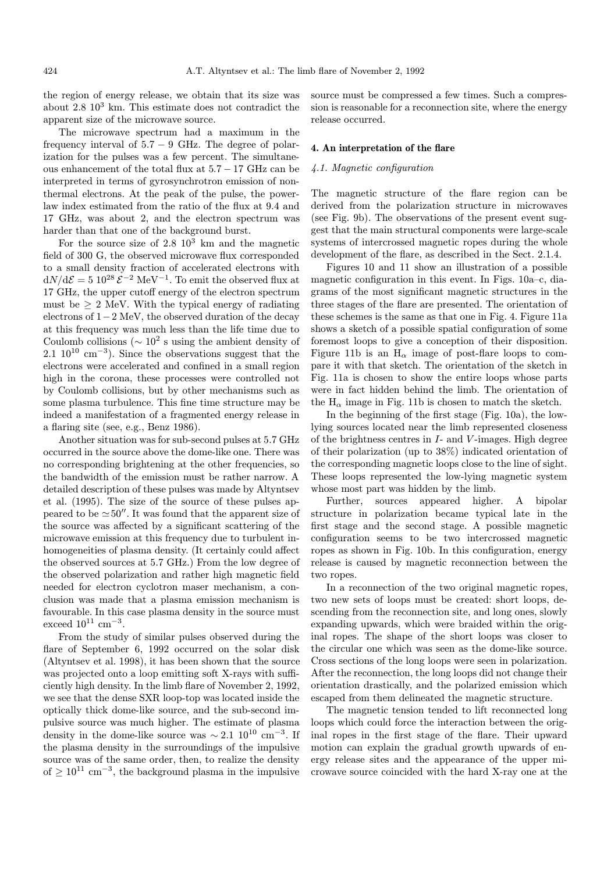the region of energy release, we obtain that its size was about  $2.8 \times 10^3$  km. This estimate does not contradict the apparent size of the microwave source.

The microwave spectrum had a maximum in the frequency interval of  $5.7 - 9$  GHz. The degree of polarization for the pulses was a few percent. The simultaneous enhancement of the total flux at 5.7 − 17 GHz can be interpreted in terms of gyrosynchrotron emission of nonthermal electrons. At the peak of the pulse, the powerlaw index estimated from the ratio of the flux at 9.4 and 17 GHz, was about 2, and the electron spectrum was harder than that one of the background burst.

For the source size of  $2.8 \times 10^3$  km and the magnetic field of 300 G, the observed microwave flux corresponded to a small density fraction of accelerated electrons with  $dN/d\mathcal{E} = 5 \ 10^{28} \mathcal{E}^{-2} \ \text{MeV}^{-1}$ . To emit the observed flux at 17 GHz, the upper cutoff energy of the electron spectrum must be  $> 2$  MeV. With the typical energy of radiating electrons of 1−2 MeV, the observed duration of the decay at this frequency was much less than the life time due to Coulomb collisions ( $\sim 10^2$  s using the ambient density of 2.1  $10^{10}$  cm<sup>-3</sup>). Since the observations suggest that the electrons were accelerated and confined in a small region high in the corona, these processes were controlled not by Coulomb collisions, but by other mechanisms such as some plasma turbulence. This fine time structure may be indeed a manifestation of a fragmented energy release in a flaring site (see, e.g., Benz 1986).

Another situation was for sub-second pulses at 5.7 GHz occurred in the source above the dome-like one. There was no corresponding brightening at the other frequencies, so the bandwidth of the emission must be rather narrow. A detailed description of these pulses was made by Altyntsev et al. (1995). The size of the source of these pulses appeared to be  $\simeq 50''$ . It was found that the apparent size of the source was affected by a significant scattering of the microwave emission at this frequency due to turbulent inhomogeneities of plasma density. (It certainly could affect the observed sources at 5.7 GHz.) From the low degree of the observed polarization and rather high magnetic field needed for electron cyclotron maser mechanism, a conclusion was made that a plasma emission mechanism is favourable. In this case plasma density in the source must exceed  $10^{11}$  cm<sup>-3</sup>.

From the study of similar pulses observed during the flare of September 6, 1992 occurred on the solar disk (Altyntsev et al. 1998), it has been shown that the source was projected onto a loop emitting soft X-rays with sufficiently high density. In the limb flare of November 2, 1992, we see that the dense SXR loop-top was located inside the optically thick dome-like source, and the sub-second impulsive source was much higher. The estimate of plasma density in the dome-like source was  $\sim 2.1 \, 10^{10} \, \text{cm}^{-3}$ . If the plasma density in the surroundings of the impulsive source was of the same order, then, to realize the density of  $\geq 10^{11}$  cm<sup>-3</sup>, the background plasma in the impulsive

source must be compressed a few times. Such a compression is reasonable for a reconnection site, where the energy release occurred.

# 4. An interpretation of the flare

# 4.1. Magnetic configuration

The magnetic structure of the flare region can be derived from the polarization structure in microwaves (see Fig. 9b). The observations of the present event suggest that the main structural components were large-scale systems of intercrossed magnetic ropes during the whole development of the flare, as described in the Sect. 2.1.4.

Figures 10 and 11 show an illustration of a possible magnetic configuration in this event. In Figs. 10a–c, diagrams of the most significant magnetic structures in the three stages of the flare are presented. The orientation of these schemes is the same as that one in Fig. 4. Figure 11a shows a sketch of a possible spatial configuration of some foremost loops to give a conception of their disposition. Figure 11b is an  $H_{\alpha}$  image of post-flare loops to compare it with that sketch. The orientation of the sketch in Fig. 11a is chosen to show the entire loops whose parts were in fact hidden behind the limb. The orientation of the  $H_{\alpha}$  image in Fig. 11b is chosen to match the sketch.

In the beginning of the first stage (Fig. 10a), the lowlying sources located near the limb represented closeness of the brightness centres in  $I$ - and  $V$ -images. High degree of their polarization (up to 38%) indicated orientation of the corresponding magnetic loops close to the line of sight. These loops represented the low-lying magnetic system whose most part was hidden by the limb.

Further, sources appeared higher. A bipolar structure in polarization became typical late in the first stage and the second stage. A possible magnetic configuration seems to be two intercrossed magnetic ropes as shown in Fig. 10b. In this configuration, energy release is caused by magnetic reconnection between the two ropes.

In a reconnection of the two original magnetic ropes, two new sets of loops must be created: short loops, descending from the reconnection site, and long ones, slowly expanding upwards, which were braided within the original ropes. The shape of the short loops was closer to the circular one which was seen as the dome-like source. Cross sections of the long loops were seen in polarization. After the reconnection, the long loops did not change their orientation drastically, and the polarized emission which escaped from them delineated the magnetic structure.

The magnetic tension tended to lift reconnected long loops which could force the interaction between the original ropes in the first stage of the flare. Their upward motion can explain the gradual growth upwards of energy release sites and the appearance of the upper microwave source coincided with the hard X-ray one at the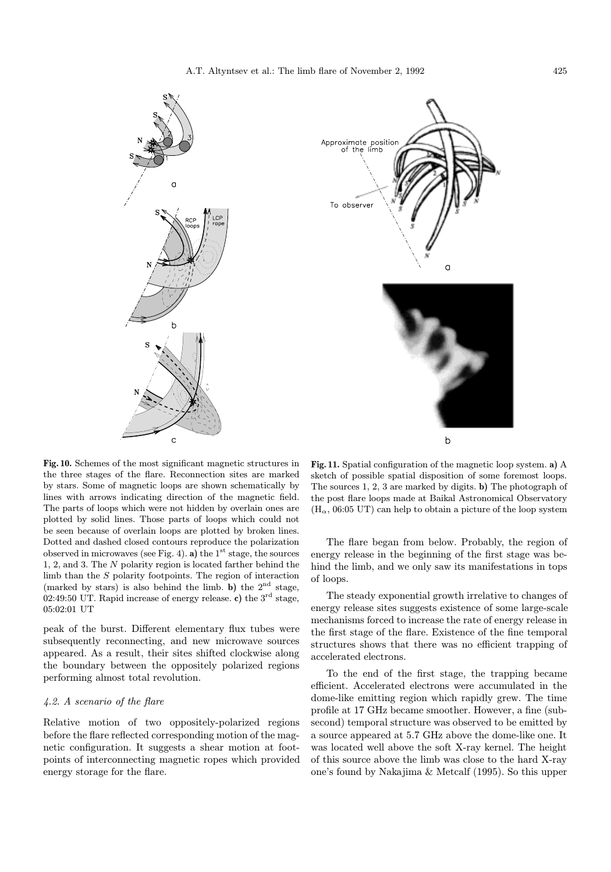



Fig. 10. Schemes of the most significant magnetic structures in the three stages of the flare. Reconnection sites are marked by stars. Some of magnetic loops are shown schematically by lines with arrows indicating direction of the magnetic field. The parts of loops which were not hidden by overlain ones are plotted by solid lines. Those parts of loops which could not be seen because of overlain loops are plotted by broken lines. Dotted and dashed closed contours reproduce the polarization observed in microwaves (see Fig. 4). a) the  $1<sup>st</sup>$  stage, the sources 1, 2, and 3. The N polarity region is located farther behind the limb than the S polarity footpoints. The region of interaction (marked by stars) is also behind the limb. b) the  $2<sup>nd</sup>$  stage, 02:49:50 UT. Rapid increase of energy release. c) the  $3<sup>rd</sup>$  stage, 05:02:01 UT

peak of the burst. Different elementary flux tubes were subsequently reconnecting, and new microwave sources appeared. As a result, their sites shifted clockwise along the boundary between the oppositely polarized regions performing almost total revolution.

# 4.2. A scenario of the flare

Relative motion of two oppositely-polarized regions before the flare reflected corresponding motion of the magnetic configuration. It suggests a shear motion at footpoints of interconnecting magnetic ropes which provided energy storage for the flare.

Fig. 11. Spatial configuration of the magnetic loop system. a) A sketch of possible spatial disposition of some foremost loops. The sources 1, 2, 3 are marked by digits. b) The photograph of the post flare loops made at Baikal Astronomical Observatory  $(H_{\alpha}, 06:05 \text{ UT})$  can help to obtain a picture of the loop system

 $\mathsf{b}$ 

The flare began from below. Probably, the region of energy release in the beginning of the first stage was behind the limb, and we only saw its manifestations in tops of loops.

The steady exponential growth irrelative to changes of energy release sites suggests existence of some large-scale mechanisms forced to increase the rate of energy release in the first stage of the flare. Existence of the fine temporal structures shows that there was no efficient trapping of accelerated electrons.

To the end of the first stage, the trapping became efficient. Accelerated electrons were accumulated in the dome-like emitting region which rapidly grew. The time profile at 17 GHz became smoother. However, a fine (subsecond) temporal structure was observed to be emitted by a source appeared at 5.7 GHz above the dome-like one. It was located well above the soft X-ray kernel. The height of this source above the limb was close to the hard X-ray one's found by Nakajima & Metcalf (1995). So this upper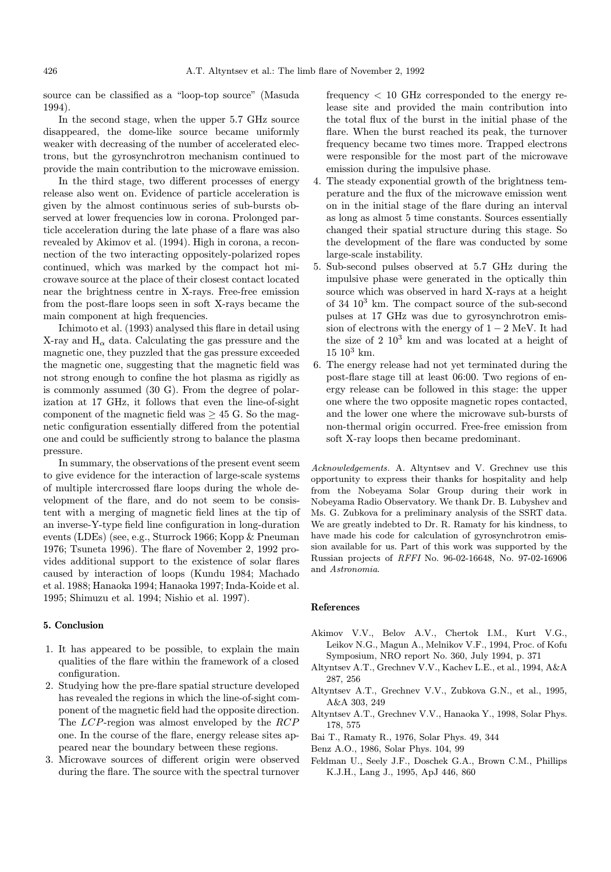source can be classified as a "loop-top source" (Masuda 1994).

In the second stage, when the upper 5.7 GHz source disappeared, the dome-like source became uniformly weaker with decreasing of the number of accelerated electrons, but the gyrosynchrotron mechanism continued to provide the main contribution to the microwave emission.

In the third stage, two different processes of energy release also went on. Evidence of particle acceleration is given by the almost continuous series of sub-bursts observed at lower frequencies low in corona. Prolonged particle acceleration during the late phase of a flare was also revealed by Akimov et al. (1994). High in corona, a reconnection of the two interacting oppositely-polarized ropes continued, which was marked by the compact hot microwave source at the place of their closest contact located near the brightness centre in X-rays. Free-free emission from the post-flare loops seen in soft X-rays became the main component at high frequencies.

Ichimoto et al. (1993) analysed this flare in detail using X-ray and  $H_{\alpha}$  data. Calculating the gas pressure and the magnetic one, they puzzled that the gas pressure exceeded the magnetic one, suggesting that the magnetic field was not strong enough to confine the hot plasma as rigidly as is commonly assumed (30 G). From the degree of polarization at 17 GHz, it follows that even the line-of-sight component of the magnetic field was  $\geq$  45 G. So the magnetic configuration essentially differed from the potential one and could be sufficiently strong to balance the plasma pressure.

In summary, the observations of the present event seem to give evidence for the interaction of large-scale systems of multiple intercrossed flare loops during the whole development of the flare, and do not seem to be consistent with a merging of magnetic field lines at the tip of an inverse-Y-type field line configuration in long-duration events (LDEs) (see, e.g., Sturrock 1966; Kopp & Pneuman 1976; Tsuneta 1996). The flare of November 2, 1992 provides additional support to the existence of solar flares caused by interaction of loops (Kundu 1984; Machado et al. 1988; Hanaoka 1994; Hanaoka 1997; Inda-Koide et al. 1995; Shimuzu et al. 1994; Nishio et al. 1997).

## 5. Conclusion

- 1. It has appeared to be possible, to explain the main qualities of the flare within the framework of a closed configuration.
- 2. Studying how the pre-flare spatial structure developed has revealed the regions in which the line-of-sight component of the magnetic field had the opposite direction. The LCP-region was almost enveloped by the RCP one. In the course of the flare, energy release sites appeared near the boundary between these regions.
- 3. Microwave sources of different origin were observed during the flare. The source with the spectral turnover

frequency < 10 GHz corresponded to the energy release site and provided the main contribution into the total flux of the burst in the initial phase of the flare. When the burst reached its peak, the turnover frequency became two times more. Trapped electrons were responsible for the most part of the microwave emission during the impulsive phase.

- 4. The steady exponential growth of the brightness temperature and the flux of the microwave emission went on in the initial stage of the flare during an interval as long as almost 5 time constants. Sources essentially changed their spatial structure during this stage. So the development of the flare was conducted by some large-scale instability.
- 5. Sub-second pulses observed at 5.7 GHz during the impulsive phase were generated in the optically thin source which was observed in hard X-rays at a height of 34 10<sup>3</sup> km. The compact source of the sub-second pulses at 17 GHz was due to gyrosynchrotron emission of electrons with the energy of  $1 - 2$  MeV. It had the size of  $2 \times 10^3$  km and was located at a height of  $15 \; 10^3 \; \mathrm{km}$ .
- 6. The energy release had not yet terminated during the post-flare stage till at least 06:00. Two regions of energy release can be followed in this stage: the upper one where the two opposite magnetic ropes contacted, and the lower one where the microwave sub-bursts of non-thermal origin occurred. Free-free emission from soft X-ray loops then became predominant.

Acknowledgements. A. Altyntsev and V. Grechnev use this opportunity to express their thanks for hospitality and help from the Nobeyama Solar Group during their work in Nobeyama Radio Observatory. We thank Dr. B. Lubyshev and Ms. G. Zubkova for a preliminary analysis of the SSRT data. We are greatly indebted to Dr. R. Ramaty for his kindness, to have made his code for calculation of gyrosynchrotron emission available for us. Part of this work was supported by the Russian projects of RFFI No. 96-02-16648, No. 97-02-16906 and Astronomia.

## References

- Akimov V.V., Belov A.V., Chertok I.M., Kurt V.G., Leikov N.G., Magun A., Melnikov V.F., 1994, Proc. of Kofu Symposium, NRO report No. 360, July 1994, p. 371
- Altyntsev A.T., Grechnev V.V., Kachev L.E., et al., 1994, A&A 287, 256
- Altyntsev A.T., Grechnev V.V., Zubkova G.N., et al., 1995, A&A 303, 249
- Altyntsev A.T., Grechnev V.V., Hanaoka Y., 1998, Solar Phys. 178, 575
- Bai T., Ramaty R., 1976, Solar Phys. 49, 344
- Benz A.O., 1986, Solar Phys. 104, 99
- Feldman U., Seely J.F., Doschek G.A., Brown C.M., Phillips K.J.H., Lang J., 1995, ApJ 446, 860